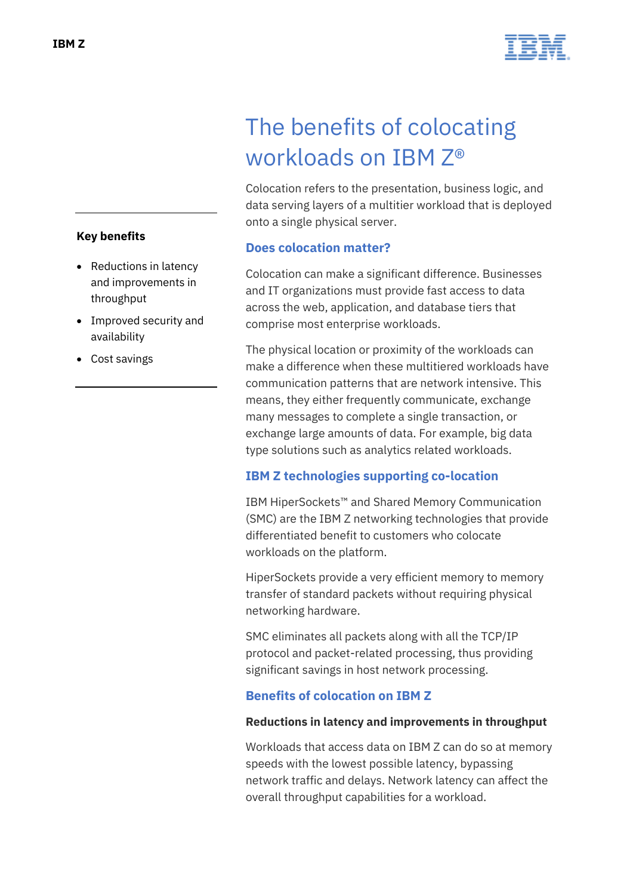

# The benefits of colocating workloads on IBM Z®

Colocation refers to the presentation, business logic, and data serving layers of a multitier workload that is deployed onto a single physical server.

## **Does colocation matter?**

Colocation can make a significant difference. Businesses and IT organizations must provide fast access to data across the web, application, and database tiers that comprise most enterprise workloads.

The physical location or proximity of the workloads can make a difference when these multitiered workloads have communication patterns that are network intensive. This means, they either frequently communicate, exchange many messages to complete a single transaction, or exchange large amounts of data. For example, big data type solutions such as analytics related workloads.

# **IBM Z technologies supporting co-location**

IBM HiperSockets™ and Shared Memory Communication (SMC) are the IBM Z networking technologies that provide differentiated benefit to customers who colocate workloads on the platform.

HiperSockets provide a very efficient memory to memory transfer of standard packets without requiring physical networking hardware.

SMC eliminates all packets along with all the TCP/IP protocol and packet-related processing, thus providing significant savings in host network processing.

# **Benefits of colocation on IBM Z**

## **Reductions in latency and improvements in throughput**

Workloads that access data on IBM Z can do so at memory speeds with the lowest possible latency, bypassing network traffic and delays. Network latency can affect the overall throughput capabilities for a workload.

## **Key benefits**

- Reductions in latency and improvements in throughput
- Improved security and availability
- Cost savings